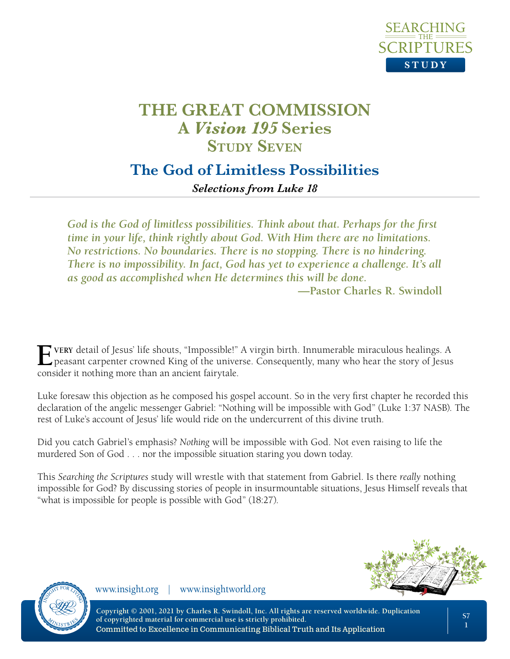

## **The God of Limitless Possibilities**

*Selections from Luke 18*

*God is the God of limitless possibilities. Think about that. Perhaps for the first time in your life, think rightly about God. With Him there are no limitations. No restrictions. No boundaries. There is no stopping. There is no hindering. There is no impossibility. In fact, God has yet to experience a challenge. It's all as good as accomplished when He determines this will be done.*

**—Pastor Charles R. Swindoll**

**Every** detail of Jesus' life shouts, "Impossible!" A virgin birth. Innumerable miraculous healings. A  $\Box$  peasant carpenter crowned King of the universe. Consequently, many who hear the story of Jesus consider it nothing more than an ancient fairytale.

Luke foresaw this objection as he composed his gospel account. So in the very first chapter he recorded this declaration of the angelic messenger Gabriel: "Nothing will be impossible with God" (Luke 1:37 NASB). The rest of Luke's account of Jesus' life would ride on the undercurrent of this divine truth.

Did you catch Gabriel's emphasis? *Nothing* will be impossible with God. Not even raising to life the murdered Son of God . . . nor the impossible situation staring you down today.

This *Searching the Scriptures* study will wrestle with that statement from Gabriel. Is there *really* nothing impossible for God? By discussing stories of people in insurmountable situations, Jesus Himself reveals that "what is impossible for people is possible with God" (18:27).





www.insight.org | www.insightworld.org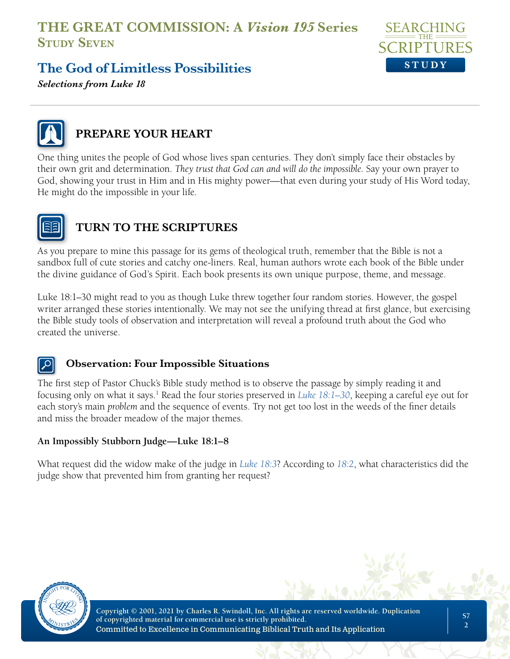

## **The God of Limitless Possibilities**

*Selections from Luke 18*



#### **PREPARE YOUR HEART**

One thing unites the people of God whose lives span centuries. They don't simply face their obstacles by their own grit and determination. *They trust that God can and will do the impossible.* Say your own prayer to God, showing your trust in Him and in His mighty power—that even during your study of His Word today, He might do the impossible in your life.



#### **TURN TO THE SCRIPTURES**

As you prepare to mine this passage for its gems of theological truth, remember that the Bible is not a sandbox full of cute stories and catchy one-liners. Real, human authors wrote each book of the Bible under the divine guidance of God's Spirit. Each book presents its own unique purpose, theme, and message.

Luke 18:1–30 might read to you as though Luke threw together four random stories. However, the gospel writer arranged these stories intentionally. We may not see the unifying thread at first glance, but exercising the Bible study tools of observation and interpretation will reveal a profound truth about the God who created the universe.

#### **Observation: Four Impossible Situations**

The first step of Pastor Chuck's Bible study method is to observe the passage by simply reading it and focusing only on what it says.<sup>1</sup> Read the four stories preserved in *Luke 18:1–30*, keeping a careful eye out for each story's main *problem* and the sequence of events. Try not get too lost in the weeds of the finer details and miss the broader meadow of the major themes.

#### **An Impossibly Stubborn Judge—Luke 18:1–8**

What request did the widow make of the judge in *Luke 18:3*? According to *18:2*, what characteristics did the judge show that prevented him from granting her request?

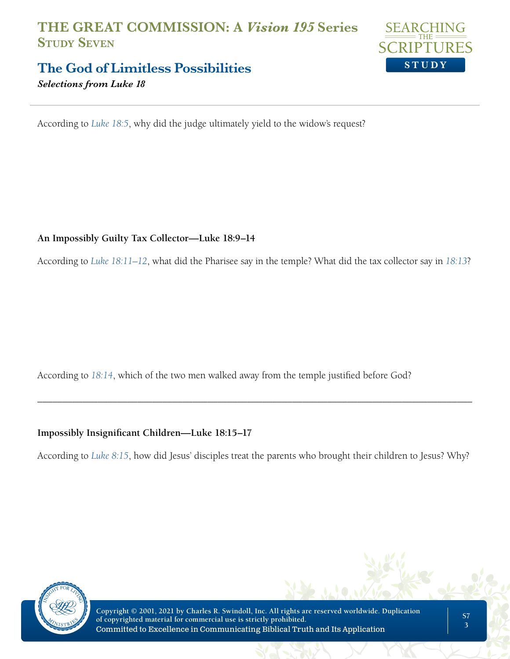

#### **The God of Limitless Possibilities**

*Selections from Luke 18*

According to *Luke 18:5*, why did the judge ultimately yield to the widow's request?

#### **An Impossibly Guilty Tax Collector—Luke 18:9–14**

According to *Luke 18:11–12*, what did the Pharisee say in the temple? What did the tax collector say in *18:13*?

According to *18:14*, which of the two men walked away from the temple justified before God?

#### **Impossibly Insignificant Children—Luke 18:15–17**

According to *Luke 8:15*, how did Jesus' disciples treat the parents who brought their children to Jesus? Why?

\_\_\_\_\_\_\_\_\_\_\_\_\_\_\_\_\_\_\_\_\_\_\_\_\_\_\_\_\_\_\_\_\_\_\_\_\_\_\_\_\_\_\_\_\_\_\_\_\_\_\_\_\_\_\_\_\_\_\_\_\_\_\_\_\_\_\_\_\_\_\_\_\_\_\_\_\_\_\_\_\_\_\_\_\_\_\_

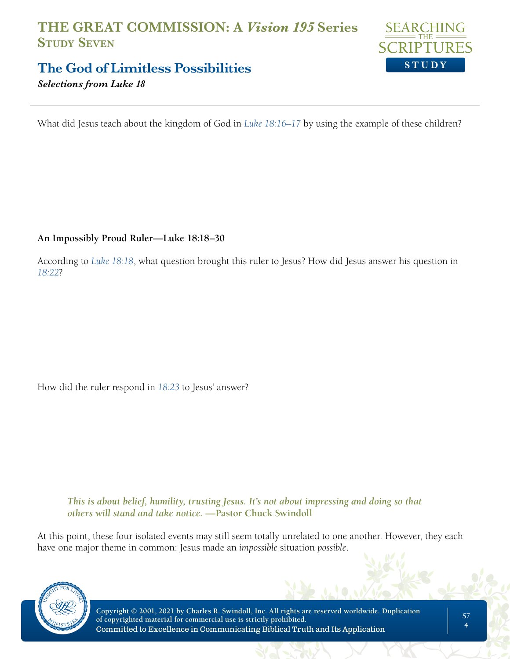

## **The God of Limitless Possibilities**

*Selections from Luke 18*

What did Jesus teach about the kingdom of God in *Luke 18:16–17* by using the example of these children?

#### **An Impossibly Proud Ruler—Luke 18:18–30**

According to *Luke 18:18*, what question brought this ruler to Jesus? How did Jesus answer his question in *18:22*?

How did the ruler respond in *18:23* to Jesus' answer?

*This is about belief, humility, trusting Jesus. It's not about impressing and doing so that others will stand and take notice.* **—Pastor Chuck Swindoll**

At this point, these four isolated events may still seem totally unrelated to one another. However, they each have one major theme in common: Jesus made an *impossible* situation *possible*.

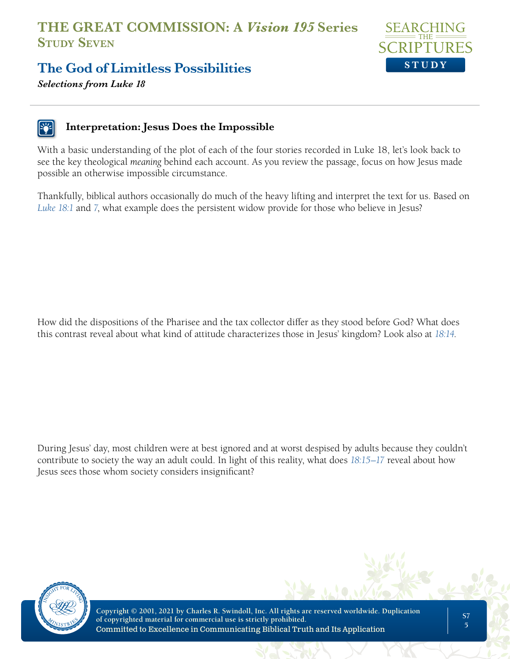

#### **The God of Limitless Possibilities**

*Selections from Luke 18*

#### **Interpretation: Jesus Does the Impossible**

With a basic understanding of the plot of each of the four stories recorded in Luke 18, let's look back to see the key theological *meaning* behind each account. As you review the passage, focus on how Jesus made possible an otherwise impossible circumstance.

Thankfully, biblical authors occasionally do much of the heavy lifting and interpret the text for us. Based on *Luke 18:1* and *7*, what example does the persistent widow provide for those who believe in Jesus?

How did the dispositions of the Pharisee and the tax collector differ as they stood before God? What does this contrast reveal about what kind of attitude characterizes those in Jesus' kingdom? Look also at *18:14*.

During Jesus' day, most children were at best ignored and at worst despised by adults because they couldn't contribute to society the way an adult could. In light of this reality, what does *18:15–17* reveal about how Jesus sees those whom society considers insignificant?

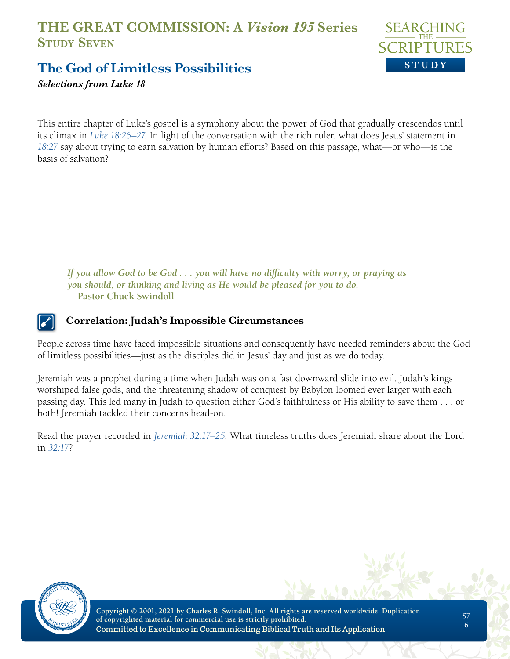

#### **The God of Limitless Possibilities**

*Selections from Luke 18*

This entire chapter of Luke's gospel is a symphony about the power of God that gradually crescendos until its climax in *Luke 18:26–27*. In light of the conversation with the rich ruler, what does Jesus' statement in *18:27* say about trying to earn salvation by human efforts? Based on this passage, what—or who—is the basis of salvation?

*If you allow God to be God . . . you will have no difficulty with worry, or praying as you should, or thinking and living as He would be pleased for you to do.*  **—Pastor Chuck Swindoll**

#### **Correlation: Judah's Impossible Circumstances**

People across time have faced impossible situations and consequently have needed reminders about the God of limitless possibilities—just as the disciples did in Jesus' day and just as we do today.

Jeremiah was a prophet during a time when Judah was on a fast downward slide into evil. Judah's kings worshiped false gods, and the threatening shadow of conquest by Babylon loomed ever larger with each passing day. This led many in Judah to question either God's faithfulness or His ability to save them . . . or both! Jeremiah tackled their concerns head-on.

Read the prayer recorded in *Jeremiah 32:17–25*. What timeless truths does Jeremiah share about the Lord in *32:17*?

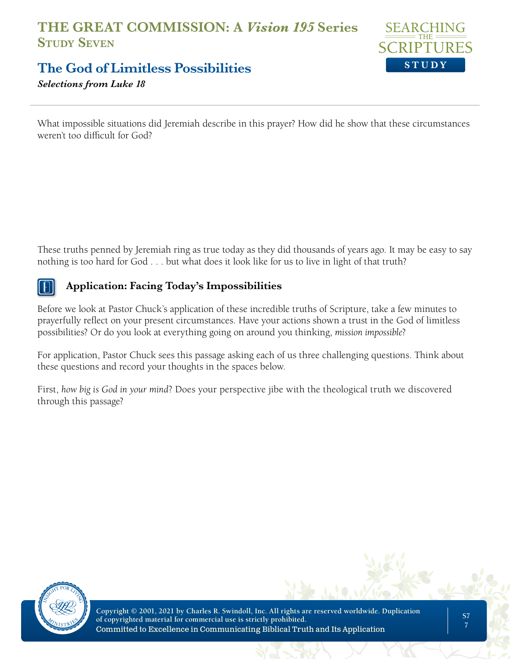

## **The God of Limitless Possibilities**

*Selections from Luke 18*

What impossible situations did Jeremiah describe in this prayer? How did he show that these circumstances weren't too difficult for God?

These truths penned by Jeremiah ring as true today as they did thousands of years ago. It may be easy to say nothing is too hard for God . . . but what does it look like for us to live in light of that truth?



#### **Application: Facing Today's Impossibilities**

Before we look at Pastor Chuck's application of these incredible truths of Scripture, take a few minutes to prayerfully reflect on your present circumstances. Have your actions shown a trust in the God of limitless possibilities? Or do you look at everything going on around you thinking, *mission impossible*?

For application, Pastor Chuck sees this passage asking each of us three challenging questions. Think about these questions and record your thoughts in the spaces below.

First, *how big is God in your mind*? Does your perspective jibe with the theological truth we discovered through this passage?

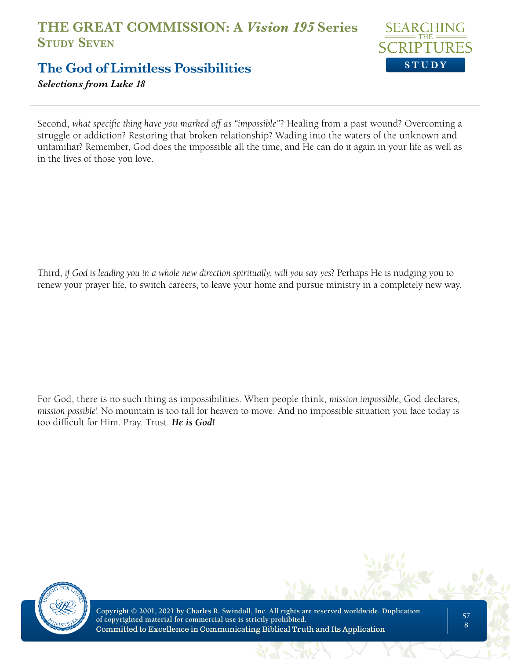

## **The God of Limitless Possibilities**

*Selections from Luke 18*

Second, *what specific thing have you marked off as "impossible"*? Healing from a past wound? Overcoming a struggle or addiction? Restoring that broken relationship? Wading into the waters of the unknown and unfamiliar? Remember, God does the impossible all the time, and He can do it again in your life as well as in the lives of those you love.

Third, *if God is leading you in a whole new direction spiritually, will you say yes*? Perhaps He is nudging you to renew your prayer life, to switch careers, to leave your home and pursue ministry in a completely new way.

For God, there is no such thing as impossibilities. When people think, *mission impossible*, God declares, *mission possible*! No mountain is too tall for heaven to move. And no impossible situation you face today is too difficult for Him. Pray. Trust. *He is God!*